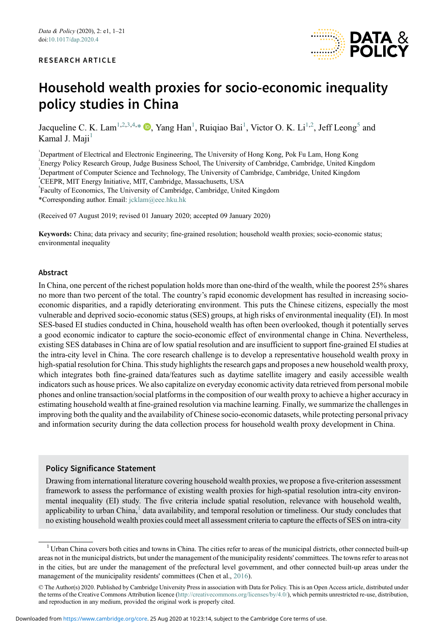

# Household wealth proxies for socio-economic inequality policy studies in China

Jacqueline C. K. Lam<sup>[1](#page-0-0)[,2](#page-0-1),[3,](#page-0-2)[4](#page-0-3),[\\*](#page-0-4)</sup>  $\bullet$ [,](https://orcid.org/0000-0002-8805-3574) Yang Han<sup>1</sup>, Ruiqiao Bai<sup>1</sup>, Victor O. K. Li<sup>1,[2](#page-0-1)</sup>, Jeff Leong<sup>[5](#page-0-5)</sup> and Kamal J. Maji $<sup>1</sup>$  $<sup>1</sup>$  $<sup>1</sup>$ </sup>

<span id="page-0-2"></span><span id="page-0-1"></span><span id="page-0-0"></span> Department of Electrical and Electronic Engineering, The University of Hong Kong, Pok Fu Lam, Hong Kong Energy Policy Research Group, Judge Business School, The University of Cambridge, Cambridge, United Kingdom <sup>3</sup>Department of Computer Science and Technology, The University of Cambridge, Cambridge, United Kingdom CEEPR, MIT Energy Initiative, MIT, Cambridge, Massachusetts, USA

<span id="page-0-5"></span><span id="page-0-3"></span>5 Faculty of Economics, The University of Cambridge, Cambridge, United Kingdom

<span id="page-0-4"></span>\*Corresponding author. Email: [jcklam@eee.hku.hk](mailto:jcklam@eee.hku.hk)

(Received 07 August 2019; revised 01 January 2020; accepted 09 January 2020)

Keywords: China; data privacy and security; fine-grained resolution; household wealth proxies; socio-economic status; environmental inequality

#### Abstract

In China, one percent of the richest population holds more than one-third of the wealth, while the poorest 25% shares no more than two percent of the total. The country's rapid economic development has resulted in increasing socioeconomic disparities, and a rapidly deteriorating environment. This puts the Chinese citizens, especially the most vulnerable and deprived socio-economic status (SES) groups, at high risks of environmental inequality (EI). In most SES-based EI studies conducted in China, household wealth has often been overlooked, though it potentially serves a good economic indicator to capture the socio-economic effect of environmental change in China. Nevertheless, existing SES databases in China are of low spatial resolution and are insufficient to support fine-grained EI studies at the intra-city level in China. The core research challenge is to develop a representative household wealth proxy in high-spatial resolution for China. This study highlights the research gaps and proposes a new household wealth proxy, which integrates both fine-grained data/features such as daytime satellite imagery and easily accessible wealth indicators such as house prices. We also capitalize on everyday economic activity data retrieved from personal mobile phones and online transaction/social platforms in the composition of our wealth proxy to achieve a higher accuracy in estimating household wealth at fine-grained resolution via machine learning. Finally, we summarize the challenges in improving both the quality and the availability of Chinese socio-economic datasets, while protecting personal privacy and information security during the data collection process for household wealth proxy development in China.

#### Policy Significance Statement

Drawing from international literature covering household wealth proxies, we propose a five-criterion assessment framework to assess the performance of existing wealth proxies for high-spatial resolution intra-city environmental inequality (EI) study. The five criteria include spatial resolution, relevance with household wealth, applicability to urban  $China<sub>+</sub>$ <sup>[1](#page-0-6)</sup> data availability, and temporal resolution or timeliness. Our study concludes that no existing household wealth proxies could meet all assessment criteria to capture the effects of SES on intra-city

<span id="page-0-6"></span><sup>&</sup>lt;sup>1</sup> Urban China covers both cities and towns in China. The cities refer to areas of the municipal districts, other connected built-up areas not in the municipal districts, but under the management of the municipality residents' committees. The towns refer to areas not in the cities, but are under the management of the prefectural level government, and other connected built-up areas under the management of the municipality residents' committees (Chen et al., [2016\)](#page-16-0).

<sup>©</sup> The Author(s) 2020. Published by Cambridge University Press in association with Data for Policy. This is an Open Access article, distributed under the terms of the Creative Commons Attribution licence [\(http://creativecommons.org/licenses/by/4.0/](http://creativecommons.org/licenses/by/4.0/)), which permits unrestricted re-use, distribution, and reproduction in any medium, provided the original work is properly cited.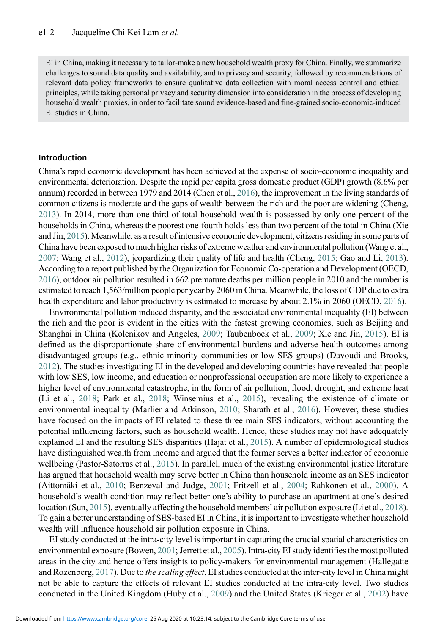EI in China, making it necessary to tailor-make a new household wealth proxy for China. Finally, we summarize challenges to sound data quality and availability, and to privacy and security, followed by recommendations of relevant data policy frameworks to ensure qualitative data collection with moral access control and ethical principles, while taking personal privacy and security dimension into consideration in the process of developing household wealth proxies, in order to facilitate sound evidence-based and fine-grained socio-economic-induced EI studies in China.

#### Introduction

China's rapid economic development has been achieved at the expense of socio-economic inequality and environmental deterioration. Despite the rapid per capita gross domestic product (GDP) growth (8.6% per annum) recorded in between 1979 and 2014 (Chen et al., [2016](#page-16-0)), the improvement in the living standards of common citizens is moderate and the gaps of wealth between the rich and the poor are widening (Cheng, [2013](#page-16-1)). In 2014, more than one-third of total household wealth is possessed by only one percent of the households in China, whereas the poorest one-fourth holds less than two percent of the total in China (Xie and Jin, [2015](#page-19-0)). Meanwhile, as a result of intensive economic development, citizens residing in some parts of China have been exposed to much higher risks of extreme weather and environmental pollution (Wang et al., [2007](#page-19-1); Wang et al., [2012](#page-19-2)), jeopardizing their quality of life and health (Cheng, [2015;](#page-16-2) Gao and Li, [2013](#page-17-0)). According to a report published by the Organization for Economic Co-operation and Development (OECD, [2016](#page-18-0)), outdoor air pollution resulted in 662 premature deaths per million people in 2010 and the number is estimated to reach 1,563/million people per year by 2060 in China. Meanwhile, the loss of GDP due to extra health expenditure and labor productivity is estimated to increase by about 2.1% in 2060 (OECD, [2016](#page-18-0)).

Environmental pollution induced disparity, and the associated environmental inequality (EI) between the rich and the poor is evident in the cities with the fastest growing economies, such as Beijing and Shanghai in China (Kolenikov and Angeles, [2009](#page-18-1); Taubenbock et al., [2009;](#page-19-3) Xie and Jin, [2015](#page-19-0)). EI is defined as the disproportionate share of environmental burdens and adverse health outcomes among disadvantaged groups (e.g., ethnic minority communities or low-SES groups) (Davoudi and Brooks, [2012](#page-17-1)). The studies investigating EI in the developed and developing countries have revealed that people with low SES, low income, and education or nonprofessional occupation are more likely to experience a higher level of environmental catastrophe, in the form of air pollution, flood, drought, and extreme heat (Li et al., [2018;](#page-18-2) Park et al., [2018](#page-18-3); Winsemius et al., [2015\)](#page-19-4), revealing the existence of climate or environmental inequality (Marlier and Atkinson, [2010](#page-18-4); Sharath et al., [2016](#page-19-5)). However, these studies have focused on the impacts of EI related to these three main SES indicators, without accounting the potential influencing factors, such as household wealth. Hence, these studies may not have adequately explained EI and the resulting SES disparities (Hajat et al., [2015](#page-17-2)). A number of epidemiological studies have distinguished wealth from income and argued that the former serves a better indicator of economic wellbeing (Pastor-Satorras et al., [2015\)](#page-18-5). In parallel, much of the existing environmental justice literature has argued that household wealth may serve better in China than household income as an SES indicator (Aittomäki et al., [2010](#page-16-3); Benzeval and Judge, [2001](#page-16-4); Fritzell et al., [2004;](#page-17-3) Rahkonen et al., [2000\)](#page-19-6). A household's wealth condition may reflect better one's ability to purchase an apartment at one's desired location (Sun, [2015\)](#page-19-7), eventually affecting the household members' air pollution exposure (Li et al., [2018\)](#page-18-2). To gain a better understanding of SES-based EI in China, it is important to investigate whether household wealth will influence household air pollution exposure in China.

EI study conducted at the intra-city level is important in capturing the crucial spatial characteristics on environmental exposure (Bowen, [2001;](#page-16-5) Jerrett et al., [2005](#page-17-4)). Intra-city EI study identifies the most polluted areas in the city and hence offers insights to policy-makers for environmental management (Hallegatte and Rozenberg, [2017](#page-17-5)). Due to the scaling effect, EI studies conducted at the inter-city level in China might not be able to capture the effects of relevant EI studies conducted at the intra-city level. Two studies conducted in the United Kingdom (Huby et al., [2009\)](#page-17-6) and the United States (Krieger et al., [2002](#page-18-6)) have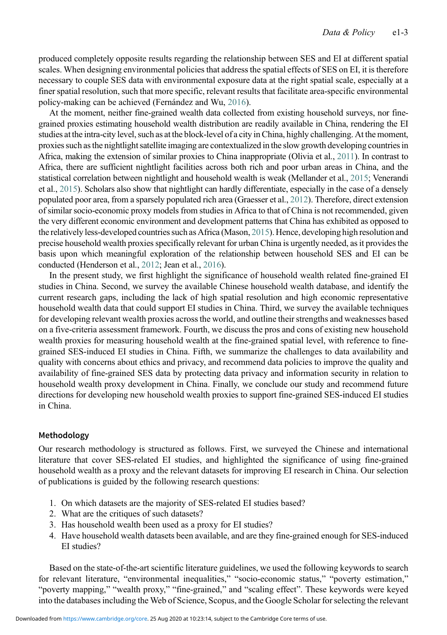produced completely opposite results regarding the relationship between SES and EI at different spatial scales. When designing environmental policies that address the spatial effects of SES on EI, it is therefore necessary to couple SES data with environmental exposure data at the right spatial scale, especially at a finer spatial resolution, such that more specific, relevant results that facilitate area-specific environmental policy-making can be achieved (Fernández and Wu, [2016](#page-17-7)).

At the moment, neither fine-grained wealth data collected from existing household surveys, nor finegrained proxies estimating household wealth distribution are readily available in China, rendering the EI studies at the intra-city level, such as at the block-level of a city in China, highly challenging. At the moment, proxies such as the nightlight satellite imaging are contextualized in the slow growth developing countries in Africa, making the extension of similar proxies to China inappropriate (Olivia et al., [2011](#page-18-7)). In contrast to Africa, there are sufficient nightlight facilities across both rich and poor urban areas in China, and the statistical correlation between nightlight and household wealth is weak (Mellander et al., [2015](#page-18-8); Venerandi et al., [2015](#page-19-8)). Scholars also show that nightlight can hardly differentiate, especially in the case of a densely populated poor area, from a sparsely populated rich area (Graesser et al., [2012\)](#page-17-8). Therefore, direct extension of similar socio-economic proxy models from studies in Africa to that of China is not recommended, given the very different economic environment and development patterns that China has exhibited as opposed to the relatively less-developed countries such as Africa (Mason, [2015](#page-18-9)). Hence, developing high resolution and precise household wealth proxies specifically relevant for urban China is urgently needed, as it provides the basis upon which meaningful exploration of the relationship between household SES and EI can be conducted (Henderson et al., [2012;](#page-17-9) Jean et al., [2016\)](#page-17-10).

In the present study, we first highlight the significance of household wealth related fine-grained EI studies in China. Second, we survey the available Chinese household wealth database, and identify the current research gaps, including the lack of high spatial resolution and high economic representative household wealth data that could support EI studies in China. Third, we survey the available techniques for developing relevant wealth proxies across the world, and outline their strengths and weaknesses based on a five-criteria assessment framework. Fourth, we discuss the pros and cons of existing new household wealth proxies for measuring household wealth at the fine-grained spatial level, with reference to finegrained SES-induced EI studies in China. Fifth, we summarize the challenges to data availability and quality with concerns about ethics and privacy, and recommend data policies to improve the quality and availability of fine-grained SES data by protecting data privacy and information security in relation to household wealth proxy development in China. Finally, we conclude our study and recommend future directions for developing new household wealth proxies to support fine-grained SES-induced EI studies in China.

# Methodology

Our research methodology is structured as follows. First, we surveyed the Chinese and international literature that cover SES-related EI studies, and highlighted the significance of using fine-grained household wealth as a proxy and the relevant datasets for improving EI research in China. Our selection of publications is guided by the following research questions:

- 1. On which datasets are the majority of SES-related EI studies based?
- 2. What are the critiques of such datasets?
- 3. Has household wealth been used as a proxy for EI studies?
- 4. Have household wealth datasets been available, and are they fine-grained enough for SES-induced EI studies?

Based on the state-of-the-art scientific literature guidelines, we used the following keywords to search for relevant literature, "environmental inequalities," "socio-economic status," "poverty estimation," "poverty mapping," "wealth proxy," "fine-grained," and "scaling effect". These keywords were keyed into the databases including the Web of Science, Scopus, and the Google Scholar for selecting the relevant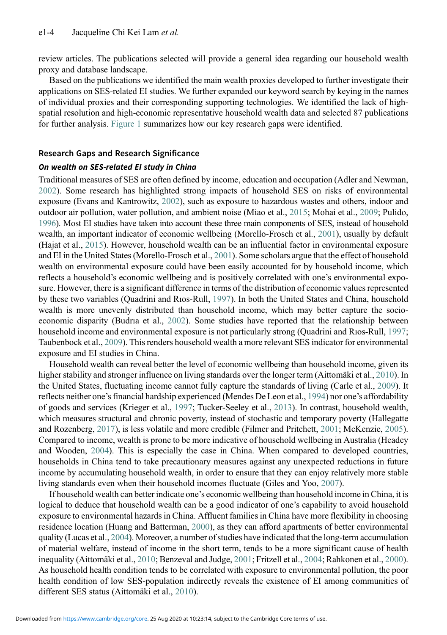review articles. The publications selected will provide a general idea regarding our household wealth proxy and database landscape.

Based on the publications we identified the main wealth proxies developed to further investigate their applications on SES-related EI studies. We further expanded our keyword search by keying in the names of individual proxies and their corresponding supporting technologies. We identified the lack of highspatial resolution and high-economic representative household wealth data and selected 87 publications for further analysis. [Figure 1](#page-4-0) summarizes how our key research gaps were identified.

### Research Gaps and Research Significance

#### On wealth on SES-related EI study in China

Traditional measures of SES are often defined by income, education and occupation (Adler and Newman, [2002](#page-16-6)). Some research has highlighted strong impacts of household SES on risks of environmental exposure (Evans and Kantrowitz, [2002](#page-17-11)), such as exposure to hazardous wastes and others, indoor and outdoor air pollution, water pollution, and ambient noise (Miao et al., [2015;](#page-18-10) Mohai et al., [2009](#page-18-11); Pulido, [1996\)](#page-19-9). Most EI studies have taken into account these three main components of SES, instead of household wealth, an important indicator of economic wellbeing (Morello-Frosch et al., [2001\)](#page-18-12), usually by default (Hajat et al., [2015](#page-17-2)). However, household wealth can be an influential factor in environmental exposure and EI in the United States (Morello-Frosch et al., [2001](#page-18-12)). Some scholars argue that the effect of household wealth on environmental exposure could have been easily accounted for by household income, which reflects a household's economic wellbeing and is positively correlated with one's environmental exposure. However, there is a significant difference in terms of the distribution of economic values represented by these two variables (Quadrini and Rıos-Rull, [1997\)](#page-19-10). In both the United States and China, household wealth is more unevenly distributed than household income, which may better capture the socioeconomic disparity (Budrıa et al., [2002\)](#page-16-7). Some studies have reported that the relationship between household income and environmental exposure is not particularly strong (Quadrini and Rıos-Rull, [1997;](#page-19-10) Taubenbock et al., [2009](#page-19-3)). This renders household wealth a more relevant SES indicator for environmental exposure and EI studies in China.

Household wealth can reveal better the level of economic wellbeing than household income, given its higher stability and stronger influence on living standards over the longer term (Aittomäki et al., [2010](#page-16-3)). In the United States, fluctuating income cannot fully capture the standards of living (Carle et al., [2009](#page-16-8)). It reflects neither one's financial hardship experienced (Mendes De Leon et al., [1994](#page-18-13)) nor one's affordability of goods and services (Krieger et al., [1997](#page-18-14); Tucker-Seeley et al., [2013](#page-19-11)). In contrast, household wealth, which measures structural and chronic poverty, instead of stochastic and temporary poverty (Hallegatte and Rozenberg, [2017\)](#page-17-5), is less volatile and more credible (Filmer and Pritchett, [2001;](#page-17-12) McKenzie, [2005\)](#page-18-15). Compared to income, wealth is prone to be more indicative of household wellbeing in Australia (Headey and Wooden, [2004](#page-17-13)). This is especially the case in China. When compared to developed countries, households in China tend to take precautionary measures against any unexpected reductions in future income by accumulating household wealth, in order to ensure that they can enjoy relatively more stable living standards even when their household incomes fluctuate (Giles and Yoo, [2007](#page-17-14)).

If household wealth can better indicate one's economic wellbeing than household income in China, it is logical to deduce that household wealth can be a good indicator of one's capability to avoid household exposure to environmental hazards in China. Affluent families in China have more flexibility in choosing residence location (Huang and Batterman, [2000](#page-17-15)), as they can afford apartments of better environmental quality (Lucas et al., [2004](#page-18-16)). Moreover, a number of studies have indicated that the long-term accumulation of material welfare, instead of income in the short term, tends to be a more significant cause of health inequality (Aittomäki et al., [2010;](#page-16-3) Benzeval and Judge, [2001](#page-16-4); Fritzell et al., [2004;](#page-17-3) Rahkonen et al., [2000\)](#page-19-6). As household health condition tends to be correlated with exposure to environmental pollution, the poor health condition of low SES-population indirectly reveals the existence of EI among communities of different SES status (Aittomäki et al., [2010](#page-16-3)).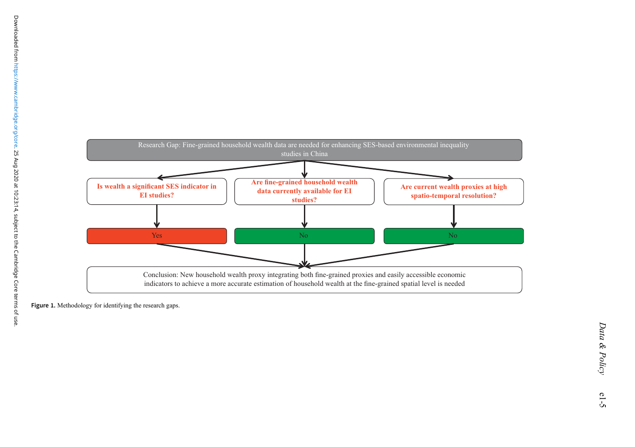<span id="page-4-0"></span>

Figure 1. Methodology for identifying the research gaps.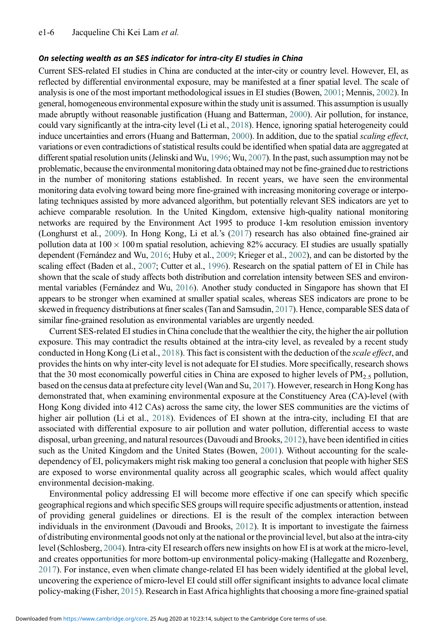### On selecting wealth as an SES indicator for intra-city EI studies in China

Current SES-related EI studies in China are conducted at the inter-city or country level. However, EI, as reflected by differential environmental exposure, may be manifested at a finer spatial level. The scale of analysis is one of the most important methodological issues in EI studies (Bowen, [2001;](#page-16-5) Mennis, [2002\)](#page-18-17). In general, homogeneous environmental exposure within the study unit is assumed. This assumption is usually made abruptly without reasonable justification (Huang and Batterman, [2000](#page-17-15)). Air pollution, for instance, could vary significantly at the intra-city level (Li et al., [2018\)](#page-18-2). Hence, ignoring spatial heterogeneity could induce uncertainties and errors (Huang and Batterman, [2000](#page-17-15)). In addition, due to the spatial scaling effect, variations or even contradictions of statistical results could be identified when spatial data are aggregated at different spatial resolution units (Jelinski and Wu, [1996;](#page-17-16) Wu, [2007](#page-19-12)). In the past, such assumption may not be problematic, because the environmental monitoring data obtained may not be fine-grained due to restrictions in the number of monitoring stations established. In recent years, we have seen the environmental monitoring data evolving toward being more fine-grained with increasing monitoring coverage or interpolating techniques assisted by more advanced algorithm, but potentially relevant SES indicators are yet to achieve comparable resolution. In the United Kingdom, extensive high-quality national monitoring networks are required by the Environment Act 1995 to produce 1-km resolution emission inventory (Longhurst et al., [2009\)](#page-18-18). In Hong Kong, Li et al.'s ([2017](#page-18-19)) research has also obtained fine-grained air pollution data at  $100 \times 100$  m spatial resolution, achieving 82% accuracy. EI studies are usually spatially dependent (Fernández and Wu, [2016;](#page-17-7) Huby et al., [2009](#page-17-6); Krieger et al., [2002](#page-18-6)), and can be distorted by the scaling effect (Baden et al., [2007](#page-16-9); Cutter et al., [1996\)](#page-17-17). Research on the spatial pattern of EI in Chile has shown that the scale of study affects both distribution and correlation intensity between SES and environmental variables (Fernández and Wu, [2016\)](#page-17-7). Another study conducted in Singapore has shown that EI appears to be stronger when examined at smaller spatial scales, whereas SES indicators are prone to be skewed in frequency distributions at finer scales (Tan and Samsudin, [2017](#page-19-13)). Hence, comparable SES data of similar fine-grained resolution as environmental variables are urgently needed.

Current SES-related EI studies in China conclude that the wealthier the city, the higher the air pollution exposure. This may contradict the results obtained at the intra-city level, as revealed by a recent study conducted in Hong Kong (Li et al., [2018](#page-18-2)). This fact is consistent with the deduction of the scale effect, and provides the hints on why inter-city level is not adequate for EI studies. More specifically, research shows that the 30 most economically powerful cities in China are exposed to higher levels of  $PM_{2.5}$  pollution, based on the census data at prefecture city level (Wan and Su, [2017\)](#page-19-14). However, research in Hong Kong has demonstrated that, when examining environmental exposure at the Constituency Area (CA)-level (with Hong Kong divided into 412 CAs) across the same city, the lower SES communities are the victims of higher air pollution (Li et al., [2018](#page-18-2)). Evidences of EI shown at the intra-city, including EI that are associated with differential exposure to air pollution and water pollution, differential access to waste disposal, urban greening, and natural resources (Davoudi and Brooks, [2012](#page-17-1)), have been identified in cities such as the United Kingdom and the United States (Bowen, [2001](#page-16-5)). Without accounting for the scaledependency of EI, policymakers might risk making too general a conclusion that people with higher SES are exposed to worse environmental quality across all geographic scales, which would affect quality environmental decision-making.

Environmental policy addressing EI will become more effective if one can specify which specific geographical regions and which specific SES groups will require specific adjustments or attention, instead of providing general guidelines or directions. EI is the result of the complex interaction between individuals in the environment (Davoudi and Brooks, [2012](#page-17-1)). It is important to investigate the fairness of distributing environmental goods not only at the national or the provincial level, but also at the intra-city level (Schlosberg, [2004](#page-19-15)). Intra-city EI research offers new insights on how EI is at work at the micro-level, and creates opportunities for more bottom-up environmental policy-making (Hallegatte and Rozenberg, [2017](#page-17-5)). For instance, even when climate change-related EI has been widely identified at the global level, uncovering the experience of micro-level EI could still offer significant insights to advance local climate policy-making (Fisher, [2015](#page-17-18)). Research in East Africa highlights that choosing a more fine-grained spatial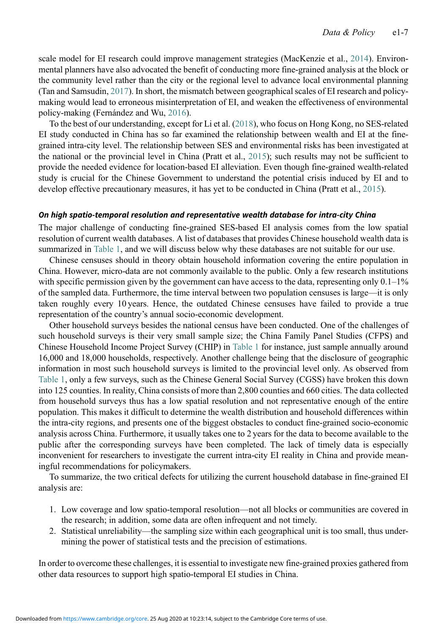scale model for EI research could improve management strategies (MacKenzie et al., [2014\)](#page-18-20). Environmental planners have also advocated the benefit of conducting more fine-grained analysis at the block or the community level rather than the city or the regional level to advance local environmental planning (Tan and Samsudin, [2017\)](#page-19-13). In short, the mismatch between geographical scales of EI research and policymaking would lead to erroneous misinterpretation of EI, and weaken the effectiveness of environmental policy-making (Fernández and Wu, [2016\)](#page-17-7).

To the best of our understanding, except for Li et al. ([2018](#page-18-2)), who focus on Hong Kong, no SES-related EI study conducted in China has so far examined the relationship between wealth and EI at the finegrained intra-city level. The relationship between SES and environmental risks has been investigated at the national or the provincial level in China (Pratt et al., [2015](#page-19-16)); such results may not be sufficient to provide the needed evidence for location-based EI alleviation. Even though fine-grained wealth-related study is crucial for the Chinese Government to understand the potential crisis induced by EI and to develop effective precautionary measures, it has yet to be conducted in China (Pratt et al., [2015](#page-19-16)).

#### On high spatio-temporal resolution and representative wealth database for intra-city China

The major challenge of conducting fine-grained SES-based EI analysis comes from the low spatial resolution of current wealth databases. A list of databases that provides Chinese household wealth data is summarized in [Table 1,](#page-7-0) and we will discuss below why these databases are not suitable for our use.

Chinese censuses should in theory obtain household information covering the entire population in China. However, micro-data are not commonly available to the public. Only a few research institutions with specific permission given by the government can have access to the data, representing only  $0.1-1\%$ of the sampled data. Furthermore, the time interval between two population censuses is large—it is only taken roughly every 10 years. Hence, the outdated Chinese censuses have failed to provide a true representation of the country's annual socio-economic development.

Other household surveys besides the national census have been conducted. One of the challenges of such household surveys is their very small sample size; the China Family Panel Studies (CFPS) and Chinese Household Income Project Survey (CHIP) in [Table 1](#page-7-0) for instance, just sample annually around 16,000 and 18,000 households, respectively. Another challenge being that the disclosure of geographic information in most such household surveys is limited to the provincial level only. As observed from [Table 1,](#page-7-0) only a few surveys, such as the Chinese General Social Survey (CGSS) have broken this down into 125 counties. In reality, China consists of more than 2,800 counties and 660 cities. The data collected from household surveys thus has a low spatial resolution and not representative enough of the entire population. This makes it difficult to determine the wealth distribution and household differences within the intra-city regions, and presents one of the biggest obstacles to conduct fine-grained socio-economic analysis across China. Furthermore, it usually takes one to 2 years for the data to become available to the public after the corresponding surveys have been completed. The lack of timely data is especially inconvenient for researchers to investigate the current intra-city EI reality in China and provide meaningful recommendations for policymakers.

To summarize, the two critical defects for utilizing the current household database in fine-grained EI analysis are:

- 1. Low coverage and low spatio-temporal resolution—not all blocks or communities are covered in the research; in addition, some data are often infrequent and not timely.
- 2. Statistical unreliability—the sampling size within each geographical unit is too small, thus undermining the power of statistical tests and the precision of estimations.

In order to overcome these challenges, it is essential to investigate new fine-grained proxies gathered from other data resources to support high spatio-temporal EI studies in China.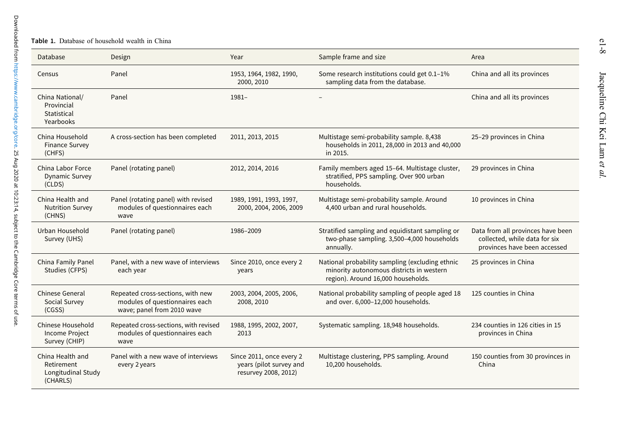#### Table 1. Database of household wealth in China

<span id="page-7-0"></span>

| Database                                                         | Design                                                                                            | Year                                                                        | Sample frame and size                                                                                                             | Area                                                                                               |
|------------------------------------------------------------------|---------------------------------------------------------------------------------------------------|-----------------------------------------------------------------------------|-----------------------------------------------------------------------------------------------------------------------------------|----------------------------------------------------------------------------------------------------|
| Census                                                           | Panel                                                                                             | 1953, 1964, 1982, 1990,<br>2000, 2010                                       | Some research institutions could get 0.1-1%<br>sampling data from the database.                                                   | China and all its provinces                                                                        |
| China National/<br>Provincial<br>Statistical<br>Yearbooks        | Panel                                                                                             | $1981 -$                                                                    |                                                                                                                                   | China and all its provinces                                                                        |
| China Household<br><b>Finance Survey</b><br>(CHFS)               | A cross-section has been completed                                                                | 2011, 2013, 2015                                                            | Multistage semi-probability sample. 8,438<br>households in 2011, 28,000 in 2013 and 40,000<br>in 2015.                            | 25-29 provinces in China                                                                           |
| China Labor Force<br><b>Dynamic Survey</b><br>(CLDS)             | Panel (rotating panel)                                                                            | 2012, 2014, 2016                                                            | Family members aged 15-64. Multistage cluster,<br>stratified, PPS sampling. Over 900 urban<br>households.                         | 29 provinces in China                                                                              |
| China Health and<br><b>Nutrition Survey</b><br>(CHNS)            | Panel (rotating panel) with revised<br>modules of questionnaires each<br>wave                     | 1989, 1991, 1993, 1997,<br>2000, 2004, 2006, 2009                           | Multistage semi-probability sample. Around<br>4,400 urban and rural households.                                                   | 10 provinces in China                                                                              |
| Urban Household<br>Survey (UHS)                                  | Panel (rotating panel)                                                                            | 1986-2009                                                                   | Stratified sampling and equidistant sampling or<br>two-phase sampling. 3,500-4,000 households<br>annually.                        | Data from all provinces have been<br>collected, while data for six<br>provinces have been accessed |
| China Family Panel<br>Studies (CFPS)                             | Panel, with a new wave of interviews<br>each year                                                 | Since 2010, once every 2<br>years                                           | National probability sampling (excluding ethnic<br>minority autonomous districts in western<br>region). Around 16,000 households. | 25 provinces in China                                                                              |
| <b>Chinese General</b><br>Social Survey<br>(CGSS)                | Repeated cross-sections, with new<br>modules of questionnaires each<br>wave; panel from 2010 wave | 2003, 2004, 2005, 2006,<br>2008, 2010                                       | National probability sampling of people aged 18<br>and over. 6,000-12,000 households.                                             | 125 counties in China                                                                              |
| Chinese Household<br><b>Income Project</b><br>Survey (CHIP)      | Repeated cross-sections, with revised<br>modules of questionnaires each<br>wave                   | 1988, 1995, 2002, 2007,<br>2013                                             | Systematic sampling. 18,948 households.                                                                                           | 234 counties in 126 cities in 15<br>provinces in China                                             |
| China Health and<br>Retirement<br>Longitudinal Study<br>(CHARLS) | Panel with a new wave of interviews<br>every 2 years                                              | Since 2011, once every 2<br>years (pilot survey and<br>resurvey 2008, 2012) | Multistage clustering, PPS sampling. Around<br>10,200 households.                                                                 | 150 counties from 30 provinces in<br>China                                                         |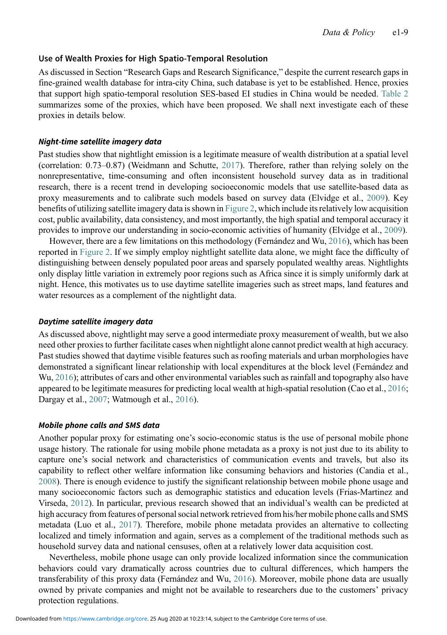## Use of Wealth Proxies for High Spatio-Temporal Resolution

As discussed in Section "Research Gaps and Research Significance," despite the current research gaps in fine-grained wealth database for intra-city China, such database is yet to be established. Hence, proxies that support high spatio-temporal resolution SES-based EI studies in China would be needed. [Table 2](#page-9-0) summarizes some of the proxies, which have been proposed. We shall next investigate each of these proxies in details below.

### Night-time satellite imagery data

Past studies show that nightlight emission is a legitimate measure of wealth distribution at a spatial level (correlation: 0.73–0.87) (Weidmann and Schutte, [2017\)](#page-19-17). Therefore, rather than relying solely on the nonrepresentative, time-consuming and often inconsistent household survey data as in traditional research, there is a recent trend in developing socioeconomic models that use satellite-based data as proxy measurements and to calibrate such models based on survey data (Elvidge et al., [2009\)](#page-17-19). Key benefits of utilizing satellite imagery data is shown in [Figure 2,](#page-10-0) which include its relatively low acquisition cost, public availability, data consistency, and most importantly, the high spatial and temporal accuracy it provides to improve our understanding in socio-economic activities of humanity (Elvidge et al., [2009](#page-17-19)).

However, there are a few limitations on this methodology (Fernández and Wu, [2016\)](#page-17-7), which has been reported in [Figure 2](#page-10-0). If we simply employ nightlight satellite data alone, we might face the difficulty of distinguishing between densely populated poor areas and sparsely populated wealthy areas. Nightlights only display little variation in extremely poor regions such as Africa since it is simply uniformly dark at night. Hence, this motivates us to use daytime satellite imageries such as street maps, land features and water resources as a complement of the nightlight data.

#### Daytime satellite imagery data

As discussed above, nightlight may serve a good intermediate proxy measurement of wealth, but we also need other proxies to further facilitate cases when nightlight alone cannot predict wealth at high accuracy. Past studies showed that daytime visible features such as roofing materials and urban morphologies have demonstrated a significant linear relationship with local expenditures at the block level (Fernández and Wu, [2016\)](#page-17-7); attributes of cars and other environmental variables such as rainfall and topography also have appeared to be legitimate measures for predicting local wealth at high-spatial resolution (Cao et al., [2016;](#page-16-10) Dargay et al., [2007](#page-17-20); Watmough et al., [2016\)](#page-19-18).

#### Mobile phone calls and SMS data

Another popular proxy for estimating one's socio-economic status is the use of personal mobile phone usage history. The rationale for using mobile phone metadata as a proxy is not just due to its ability to capture one's social network and characteristics of communication events and travels, but also its capability to reflect other welfare information like consuming behaviors and histories (Candia et al., [2008](#page-16-11)). There is enough evidence to justify the significant relationship between mobile phone usage and many socioeconomic factors such as demographic statistics and education levels (Frias-Martinez and Virseda, [2012\)](#page-17-21). In particular, previous research showed that an individual's wealth can be predicted at high accuracy from features of personal social network retrieved from his/her mobile phone calls and SMS metadata (Luo et al., [2017](#page-18-21)). Therefore, mobile phone metadata provides an alternative to collecting localized and timely information and again, serves as a complement of the traditional methods such as household survey data and national censuses, often at a relatively lower data acquisition cost.

Nevertheless, mobile phone usage can only provide localized information since the communication behaviors could vary dramatically across countries due to cultural differences, which hampers the transferability of this proxy data (Fernández and Wu, [2016\)](#page-17-7). Moreover, mobile phone data are usually owned by private companies and might not be available to researchers due to the customers' privacy protection regulations.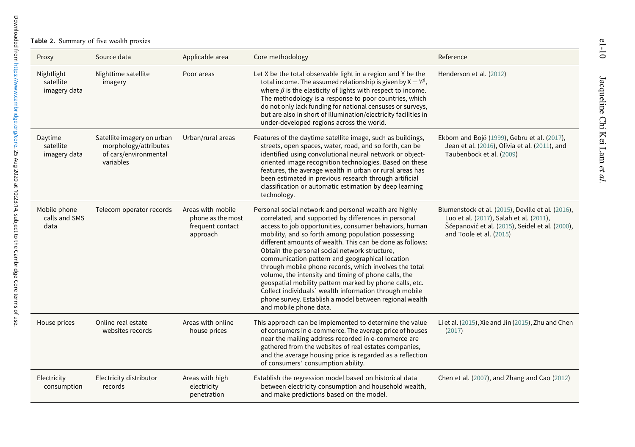**Table 2.** Summary of five wealth proxies

<span id="page-9-0"></span>

| Proxy                                   | Source data                                                                               | Applicable area                                                        | Core methodology                                                                                                                                                                                                                                                                                                                                                                                                                                                                                                                                                                                                                                                                                                            | Reference                                                                                                                                                                  |
|-----------------------------------------|-------------------------------------------------------------------------------------------|------------------------------------------------------------------------|-----------------------------------------------------------------------------------------------------------------------------------------------------------------------------------------------------------------------------------------------------------------------------------------------------------------------------------------------------------------------------------------------------------------------------------------------------------------------------------------------------------------------------------------------------------------------------------------------------------------------------------------------------------------------------------------------------------------------------|----------------------------------------------------------------------------------------------------------------------------------------------------------------------------|
| Nightlight<br>satellite<br>imagery data | Nighttime satellite<br>imagery                                                            | Poor areas                                                             | Let X be the total observable light in a region and Y be the<br>total income. The assumed relationship is given by $X = Y^{\beta}$ ,<br>where $\beta$ is the elasticity of lights with respect to income.<br>The methodology is a response to poor countries, which<br>do not only lack funding for national censuses or surveys,<br>but are also in short of illumination/electricity facilities in<br>under-developed regions across the world.                                                                                                                                                                                                                                                                           | Henderson et al. (2012)                                                                                                                                                    |
| Daytime<br>satellite<br>imagery data    | Satellite imagery on urban<br>morphology/attributes<br>of cars/environmental<br>variables | Urban/rural areas                                                      | Features of the daytime satellite image, such as buildings,<br>streets, open spaces, water, road, and so forth, can be<br>identified using convolutional neural network or object-<br>oriented image recognition technologies. Based on these<br>features, the average wealth in urban or rural areas has<br>been estimated in previous research through artificial<br>classification or automatic estimation by deep learning<br>technology.                                                                                                                                                                                                                                                                               | Ekbom and Bojö (1999), Gebru et al. (2017),<br>Jean et al. (2016), Olivia et al. (2011), and<br>Taubenbock et al. (2009)                                                   |
| Mobile phone<br>calls and SMS<br>data   | Telecom operator records                                                                  | Areas with mobile<br>phone as the most<br>frequent contact<br>approach | Personal social network and personal wealth are highly<br>correlated, and supported by differences in personal<br>access to job opportunities, consumer behaviors, human<br>mobility, and so forth among population possessing<br>different amounts of wealth. This can be done as follows:<br>Obtain the personal social network structure,<br>communication pattern and geographical location<br>through mobile phone records, which involves the total<br>volume, the intensity and timing of phone calls, the<br>geospatial mobility pattern marked by phone calls, etc.<br>Collect individuals' wealth information through mobile<br>phone survey. Establish a model between regional wealth<br>and mobile phone data. | Blumenstock et al. (2015), Deville et al. (2016),<br>Luo et al. (2017), Salah et al. (2011),<br>Šćepanović et al. (2015), Seidel et al. (2000),<br>and Toole et al. (2015) |
| House prices                            | Online real estate<br>websites records                                                    | Areas with online<br>house prices                                      | This approach can be implemented to determine the value<br>of consumers in e-commerce. The average price of houses<br>near the mailing address recorded in e-commerce are<br>gathered from the websites of real estates companies,<br>and the average housing price is regarded as a reflection<br>of consumers' consumption ability.                                                                                                                                                                                                                                                                                                                                                                                       | Li et al. (2015), Xie and Jin (2015), Zhu and Chen<br>(2017)                                                                                                               |
| Electricity<br>consumption              | Electricity distributor<br>records                                                        | Areas with high<br>electricity<br>penetration                          | Establish the regression model based on historical data<br>between electricity consumption and household wealth,<br>and make predictions based on the model.                                                                                                                                                                                                                                                                                                                                                                                                                                                                                                                                                                | Chen et al. (2007), and Zhang and Cao (2012)                                                                                                                               |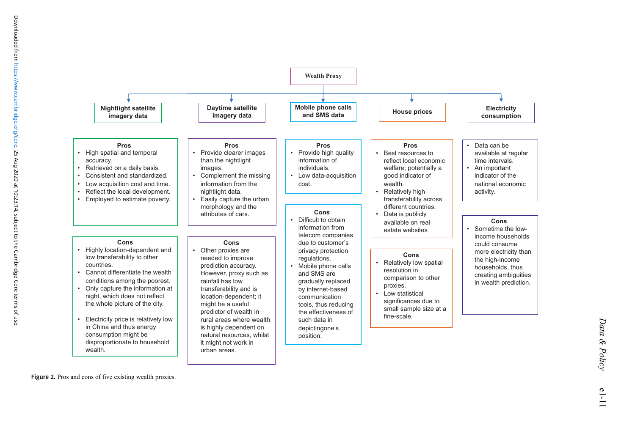<span id="page-10-0"></span>

Figure 2. Pros and cons of five existing wealth proxies.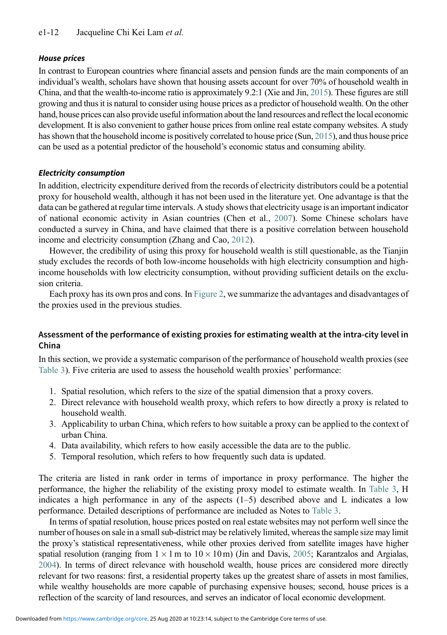## House prices

In contrast to European countries where financial assets and pension funds are the main components of an individual's wealth, scholars have shown that housing assets account for over 70% of household wealth in China, and that the wealth-to-income ratio is approximately 9.2:1 (Xie and Jin, [2015\)](#page-19-0). These figures are still growing and thus it is natural to consider using house prices as a predictor of household wealth. On the other hand, house prices can also provide useful information about the land resources and reflect the local economic development. It is also convenient to gather house prices from online real estate company websites. A study has shown that the household income is positively correlated to house price (Sun, [2015\)](#page-19-7), and thus house price can be used as a potential predictor of the household's economic status and consuming ability.

# Electricity consumption

In addition, electricity expenditure derived from the records of electricity distributors could be a potential proxy for household wealth, although it has not been used in the literature yet. One advantage is that the data can be gathered at regular time intervals. A study shows that electricity usage is an important indicator of national economic activity in Asian countries (Chen et al., [2007\)](#page-16-14). Some Chinese scholars have conducted a survey in China, and have claimed that there is a positive correlation between household income and electricity consumption (Zhang and Cao, [2012\)](#page-19-26).

However, the credibility of using this proxy for household wealth is still questionable, as the Tianjin study excludes the records of both low-income households with high electricity consumption and highincome households with low electricity consumption, without providing sufficient details on the exclusion criteria.

Each proxy has its own pros and cons. In [Figure 2,](#page-10-0) we summarize the advantages and disadvantages of the proxies used in the previous studies.

# Assessment of the performance of existing proxies for estimating wealth at the intra-city level in China

In this section, we provide a systematic comparison of the performance of household wealth proxies (see [Table 3\)](#page-12-0). Five criteria are used to assess the household wealth proxies' performance:

- 1. Spatial resolution, which refers to the size of the spatial dimension that a proxy covers.
- 2. Direct relevance with household wealth proxy, which refers to how directly a proxy is related to household wealth.
- 3. Applicability to urban China, which refers to how suitable a proxy can be applied to the context of urban China.
- 4. Data availability, which refers to how easily accessible the data are to the public.
- 5. Temporal resolution, which refers to how frequently such data is updated.

The criteria are listed in rank order in terms of importance in proxy performance. The higher the performance, the higher the reliability of the existing proxy model to estimate wealth. In [Table 3,](#page-12-0) H indicates a high performance in any of the aspects (1–5) described above and L indicates a low performance. Detailed descriptions of performance are included as Notes to [Table 3.](#page-12-0)

In terms of spatial resolution, house prices posted on real estate websites may not perform well since the number of houses on sale in a small sub-district may be relatively limited, whereas the sample size may limit the proxy's statistical representativeness, while other proxies derived from satellite images have higher spatial resolution (ranging from  $1 \times 1$  m to  $10 \times 10$  m) (Jin and Davis, [2005](#page-17-27); Karantzalos and Argialas, [2004](#page-17-28)). In terms of direct relevance with household wealth, house prices are considered more directly relevant for two reasons: first, a residential property takes up the greatest share of assets in most families, while wealthy households are more capable of purchasing expensive houses; second, house prices is a reflection of the scarcity of land resources, and serves an indicator of local economic development.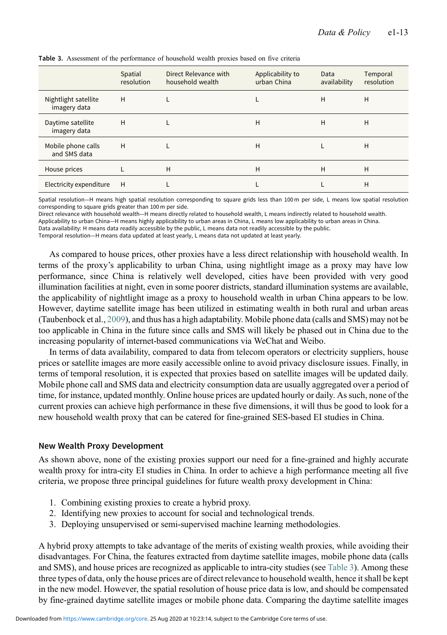|                                      | Spatial<br>resolution | Direct Relevance with<br>household wealth | Applicability to<br>urban China | Data<br>availability | Temporal<br>resolution |
|--------------------------------------|-----------------------|-------------------------------------------|---------------------------------|----------------------|------------------------|
| Nightlight satellite<br>imagery data | H                     |                                           |                                 | H                    | H                      |
| Daytime satellite<br>imagery data    | H                     |                                           | H                               | H                    | H                      |
| Mobile phone calls<br>and SMS data   | H                     |                                           | H                               |                      | H                      |
| House prices                         |                       | H                                         | H                               | H                    | H                      |
| Electricity expenditure              | H                     |                                           |                                 |                      | H                      |

<span id="page-12-0"></span>Table 3. Assessment of the performance of household wealth proxies based on five criteria

Spatial resolution—H means high spatial resolution corresponding to square grids less than 100 m per side, L means low spatial resolution corresponding to square grids greater than 100 m per side.

Direct relevance with household wealth—H means directly related to household wealth, L means indirectly related to household wealth.

Applicability to urban China—H means highly applicability to urban areas in China, L means low applicability to urban areas in China.

Data availability: H means data readily accessible by the public, L means data not readily accessible by the public.

Temporal resolution—H means data updated at least yearly, L means data not updated at least yearly.

As compared to house prices, other proxies have a less direct relationship with household wealth. In terms of the proxy's applicability to urban China, using nightlight image as a proxy may have low performance, since China is relatively well developed, cities have been provided with very good illumination facilities at night, even in some poorer districts, standard illumination systems are available, the applicability of nightlight image as a proxy to household wealth in urban China appears to be low. However, daytime satellite image has been utilized in estimating wealth in both rural and urban areas (Taubenbock et al., [2009](#page-19-3)), and thus has a high adaptability. Mobile phone data (calls and SMS) may not be too applicable in China in the future since calls and SMS will likely be phased out in China due to the increasing popularity of internet-based communications via WeChat and Weibo.

In terms of data availability, compared to data from telecom operators or electricity suppliers, house prices or satellite images are more easily accessible online to avoid privacy disclosure issues. Finally, in terms of temporal resolution, it is expected that proxies based on satellite images will be updated daily. Mobile phone call and SMS data and electricity consumption data are usually aggregated over a period of time, for instance, updated monthly. Online house prices are updated hourly or daily. As such, none of the current proxies can achieve high performance in these five dimensions, it will thus be good to look for a new household wealth proxy that can be catered for fine-grained SES-based EI studies in China.

#### New Wealth Proxy Development

As shown above, none of the existing proxies support our need for a fine-grained and highly accurate wealth proxy for intra-city EI studies in China. In order to achieve a high performance meeting all five criteria, we propose three principal guidelines for future wealth proxy development in China:

- 1. Combining existing proxies to create a hybrid proxy.
- 2. Identifying new proxies to account for social and technological trends.
- 3. Deploying unsupervised or semi-supervised machine learning methodologies.

A hybrid proxy attempts to take advantage of the merits of existing wealth proxies, while avoiding their disadvantages. For China, the features extracted from daytime satellite images, mobile phone data (calls and SMS), and house prices are recognized as applicable to intra-city studies (see [Table 3\)](#page-12-0). Among these three types of data, only the house prices are of direct relevance to household wealth, hence it shall be kept in the new model. However, the spatial resolution of house price data is low, and should be compensated by fine-grained daytime satellite images or mobile phone data. Comparing the daytime satellite images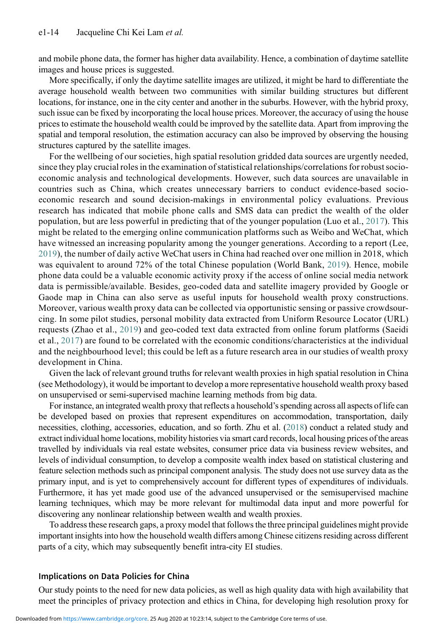and mobile phone data, the former has higher data availability. Hence, a combination of daytime satellite images and house prices is suggested.

More specifically, if only the daytime satellite images are utilized, it might be hard to differentiate the average household wealth between two communities with similar building structures but different locations, for instance, one in the city center and another in the suburbs. However, with the hybrid proxy, such issue can be fixed by incorporating the local house prices. Moreover, the accuracy of using the house prices to estimate the household wealth could be improved by the satellite data. Apart from improving the spatial and temporal resolution, the estimation accuracy can also be improved by observing the housing structures captured by the satellite images.

For the wellbeing of our societies, high spatial resolution gridded data sources are urgently needed, since they play crucial roles in the examination of statistical relationships/correlations for robust socioeconomic analysis and technological developments. However, such data sources are unavailable in countries such as China, which creates unnecessary barriers to conduct evidence-based socioeconomic research and sound decision-makings in environmental policy evaluations. Previous research has indicated that mobile phone calls and SMS data can predict the wealth of the older population, but are less powerful in predicting that of the younger population (Luo et al., [2017](#page-18-21)). This might be related to the emerging online communication platforms such as Weibo and WeChat, which have witnessed an increasing popularity among the younger generations. According to a report (Lee, [2019](#page-18-25)), the number of daily active WeChat users in China had reached over one million in 2018, which was equivalent to around 72% of the total Chinese population (World Bank, [2019\)](#page-19-27). Hence, mobile phone data could be a valuable economic activity proxy if the access of online social media network data is permissible/available. Besides, geo-coded data and satellite imagery provided by Google or Gaode map in China can also serve as useful inputs for household wealth proxy constructions. Moreover, various wealth proxy data can be collected via opportunistic sensing or passive crowdsourcing. In some pilot studies, personal mobility data extracted from Uniform Resource Locator (URL) requests (Zhao et al., [2019\)](#page-20-1) and geo-coded text data extracted from online forum platforms (Saeidi et al., [2017\)](#page-19-28) are found to be correlated with the economic conditions/characteristics at the individual and the neighbourhood level; this could be left as a future research area in our studies of wealth proxy development in China.

Given the lack of relevant ground truths for relevant wealth proxies in high spatial resolution in China (see Methodology), it would be important to develop a more representative household wealth proxy based on unsupervised or semi-supervised machine learning methods from big data.

For instance, an integrated wealth proxy that reflects a household's spending across all aspects of life can be developed based on proxies that represent expenditures on accommodation, transportation, daily necessities, clothing, accessories, education, and so forth. Zhu et al. [\(2018\)](#page-20-2) conduct a related study and extract individual home locations, mobility histories via smart card records, local housing prices of the areas travelled by individuals via real estate websites, consumer price data via business review websites, and levels of individual consumption, to develop a composite wealth index based on statistical clustering and feature selection methods such as principal component analysis. The study does not use survey data as the primary input, and is yet to comprehensively account for different types of expenditures of individuals. Furthermore, it has yet made good use of the advanced unsupervised or the semisupervised machine learning techniques, which may be more relevant for multimodal data input and more powerful for discovering any nonlinear relationship between wealth and wealth proxies.

To address these research gaps, a proxy model that follows the three principal guidelines might provide important insights into how the household wealth differs among Chinese citizens residing across different parts of a city, which may subsequently benefit intra-city EI studies.

## Implications on Data Policies for China

Our study points to the need for new data policies, as well as high quality data with high availability that meet the principles of privacy protection and ethics in China, for developing high resolution proxy for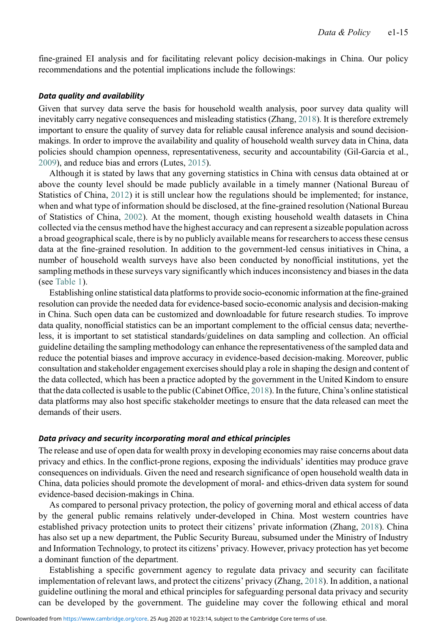fine-grained EI analysis and for facilitating relevant policy decision-makings in China. Our policy recommendations and the potential implications include the followings:

#### Data quality and availability

Given that survey data serve the basis for household wealth analysis, poor survey data quality will inevitably carry negative consequences and misleading statistics (Zhang, [2018](#page-19-29)). It is therefore extremely important to ensure the quality of survey data for reliable causal inference analysis and sound decisionmakings. In order to improve the availability and quality of household wealth survey data in China, data policies should champion openness, representativeness, security and accountability (Gil-Garcia et al., [2009](#page-17-29)), and reduce bias and errors (Lutes, [2015](#page-18-26)).

Although it is stated by laws that any governing statistics in China with census data obtained at or above the county level should be made publicly available in a timely manner (National Bureau of Statistics of China, [2012\)](#page-18-27) it is still unclear how the regulations should be implemented; for instance, when and what type of information should be disclosed, at the fine-grained resolution (National Bureau of Statistics of China, [2002](#page-18-28)). At the moment, though existing household wealth datasets in China collected via the census method have the highest accuracy and can represent a sizeable population across a broad geographical scale, there is by no publicly available means for researchers to access these census data at the fine-grained resolution. In addition to the government-led census initiatives in China, a number of household wealth surveys have also been conducted by nonofficial institutions, yet the sampling methods in these surveys vary significantly which induces inconsistency and biases in the data (see [Table 1](#page-7-0)).

Establishing online statistical data platforms to provide socio-economic information at the fine-grained resolution can provide the needed data for evidence-based socio-economic analysis and decision-making in China. Such open data can be customized and downloadable for future research studies. To improve data quality, nonofficial statistics can be an important complement to the official census data; nevertheless, it is important to set statistical standards/guidelines on data sampling and collection. An official guideline detailing the sampling methodology can enhance the representativeness of the sampled data and reduce the potential biases and improve accuracy in evidence-based decision-making. Moreover, public consultation and stakeholder engagement exercises should play a role in shaping the design and content of the data collected, which has been a practice adopted by the government in the United Kindom to ensure that the data collected is usable to the public (Cabinet Office, [2018\)](#page-16-15). In the future, China's online statistical data platforms may also host specific stakeholder meetings to ensure that the data released can meet the demands of their users.

## Data privacy and security incorporating moral and ethical principles

The release and use of open data for wealth proxy in developing economies may raise concerns about data privacy and ethics. In the conflict-prone regions, exposing the individuals' identities may produce grave consequences on individuals. Given the need and research significance of open household wealth data in China, data policies should promote the development of moral- and ethics-driven data system for sound evidence-based decision-makings in China.

As compared to personal privacy protection, the policy of governing moral and ethical access of data by the general public remains relatively under-developed in China. Most western countries have established privacy protection units to protect their citizens' private information (Zhang, [2018](#page-19-29)). China has also set up a new department, the Public Security Bureau, subsumed under the Ministry of Industry and Information Technology, to protect its citizens' privacy. However, privacy protection has yet become a dominant function of the department.

Establishing a specific government agency to regulate data privacy and security can facilitate implementation of relevant laws, and protect the citizens' privacy (Zhang, [2018\)](#page-19-29). In addition, a national guideline outlining the moral and ethical principles for safeguarding personal data privacy and security can be developed by the government. The guideline may cover the following ethical and moral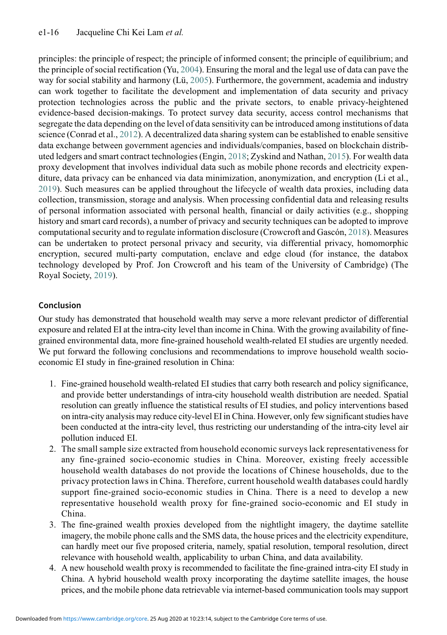principles: the principle of respect; the principle of informed consent; the principle of equilibrium; and the principle of social rectification (Yu, [2004\)](#page-19-30). Ensuring the moral and the legal use of data can pave the way for social stability and harmony (Lü, [2005](#page-18-29)). Furthermore, the government, academia and industry can work together to facilitate the development and implementation of data security and privacy protection technologies across the public and the private sectors, to enable privacy-heightened evidence-based decision-makings. To protect survey data security, access control mechanisms that segregate the data depending on the level of data sensitivity can be introduced among institutions of data science (Conrad et al., [2012](#page-16-16)). A decentralized data sharing system can be established to enable sensitive data exchange between government agencies and individuals/companies, based on blockchain distributed ledgers and smart contract technologies (Engin, [2018](#page-17-30); Zyskind and Nathan, [2015\)](#page-20-3). For wealth data proxy development that involves individual data such as mobile phone records and electricity expenditure, data privacy can be enhanced via data minimization, anonymization, and encryption (Li et al., [2019\)](#page-18-30). Such measures can be applied throughout the lifecycle of wealth data proxies, including data collection, transmission, storage and analysis. When processing confidential data and releasing results of personal information associated with personal health, financial or daily activities (e.g., shopping history and smart card records), a number of privacy and security techniques can be adopted to improve computational security and to regulate information disclosure (Crowcroft and Gascón, [2018\)](#page-16-17). Measures can be undertaken to protect personal privacy and security, via differential privacy, homomorphic encryption, secured multi-party computation, enclave and edge cloud (for instance, the databox technology developed by Prof. Jon Crowcroft and his team of the University of Cambridge) (The Royal Society, [2019](#page-19-31)).

# Conclusion

Our study has demonstrated that household wealth may serve a more relevant predictor of differential exposure and related EI at the intra-city level than income in China. With the growing availability of finegrained environmental data, more fine-grained household wealth-related EI studies are urgently needed. We put forward the following conclusions and recommendations to improve household wealth socioeconomic EI study in fine-grained resolution in China:

- 1. Fine-grained household wealth-related EI studies that carry both research and policy significance, and provide better understandings of intra-city household wealth distribution are needed. Spatial resolution can greatly influence the statistical results of EI studies, and policy interventions based on intra-city analysis may reduce city-level EI in China. However, only few significant studies have been conducted at the intra-city level, thus restricting our understanding of the intra-city level air pollution induced EI.
- 2. The small sample size extracted from household economic surveys lack representativeness for any fine-grained socio-economic studies in China. Moreover, existing freely accessible household wealth databases do not provide the locations of Chinese households, due to the privacy protection laws in China. Therefore, current household wealth databases could hardly support fine-grained socio-economic studies in China. There is a need to develop a new representative household wealth proxy for fine-grained socio-economic and EI study in China.
- 3. The fine-grained wealth proxies developed from the nightlight imagery, the daytime satellite imagery, the mobile phone calls and the SMS data, the house prices and the electricity expenditure, can hardly meet our five proposed criteria, namely, spatial resolution, temporal resolution, direct relevance with household wealth, applicability to urban China, and data availability.
- 4. A new household wealth proxy is recommended to facilitate the fine-grained intra-city EI study in China. A hybrid household wealth proxy incorporating the daytime satellite images, the house prices, and the mobile phone data retrievable via internet-based communication tools may support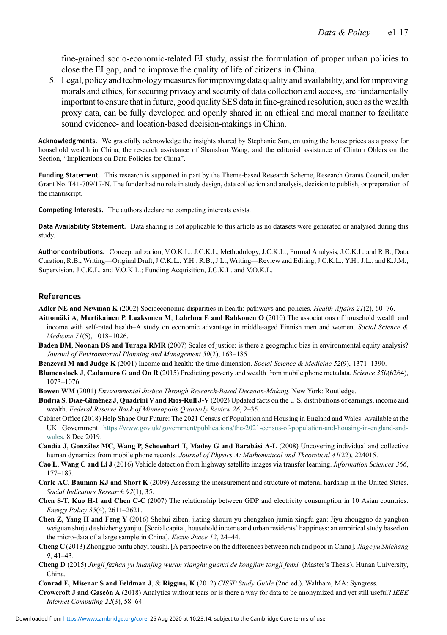<span id="page-16-13"></span><span id="page-16-12"></span>fine-grained socio-economic-related EI study, assist the formulation of proper urban policies to close the EI gap, and to improve the quality of life of citizens in China.

5. Legal, policy and technology measures for improving data quality and availability, and for improving morals and ethics, for securing privacy and security of data collection and access, are fundamentally important to ensure that in future, good quality SES data in fine-grained resolution, such as the wealth proxy data, can be fully developed and openly shared in an ethical and moral manner to facilitate sound evidence- and location-based decision-makings in China.

Acknowledgments. We gratefully acknowledge the insights shared by Stephanie Sun, on using the house prices as a proxy for household wealth in China, the research assistance of Shanshan Wang, and the editorial assistance of Clinton Ohlers on the Section, "Implications on Data Policies for China".

Funding Statement. This research is supported in part by the Theme-based Research Scheme, Research Grants Council, under Grant No. T41-709/17-N. The funder had no role in study design, data collection and analysis, decision to publish, or preparation of the manuscript.

Competing Interests. The authors declare no competing interests exists.

Data Availability Statement. Data sharing is not applicable to this article as no datasets were generated or analysed during this study.

Author contributions. Conceptualization, V.O.K.L., J.C.K.L; Methodology, J.C.K.L.; Formal Analysis, J.C.K.L. and R.B.; Data Curation, R.B.; Writing—Original Draft, J.C.K.L., Y.H., R.B., J.L., Writing—Review and Editing, J.C.K.L., Y.H., J.L., and K.J.M.; Supervision, J.C.K.L. and V.O.K.L.; Funding Acquisition, J.C.K.L. and V.O.K.L.

## References

<span id="page-16-6"></span><span id="page-16-3"></span>Adler NE and Newman K (2002) Socioeconomic disparities in health: pathways and policies. Health Affairs 21(2), 60–76.

- Aittomäki A, Martikainen P, Laaksonen M, Lahelma E and Rahkonen O (2010) The associations of household wealth and income with self-rated health–A study on economic advantage in middle-aged Finnish men and women. Social Science & Medicine 71(5), 1018–1026.
- <span id="page-16-9"></span>Baden BM, Noonan DS and Turaga RMR (2007) Scales of justice: is there a geographic bias in environmental equity analysis? Journal of Environmental Planning and Management 50(2), 163–185.
- <span id="page-16-4"></span>Benzeval M and Judge K (2001) Income and health: the time dimension. Social Science & Medicine 52(9), 1371–1390.
- Blumenstock J, Cadamuro G and On R (2015) Predicting poverty and wealth from mobile phone metadata. Science 350(6264), 1073–1076.
- <span id="page-16-7"></span><span id="page-16-5"></span>Bowen WM (2001) Environmental Justice Through Research-Based Decision-Making. New York: Routledge.
- Budria S, Diaz-Giménez J, Quadrini V and Rios-Rull J-V (2002) Updated facts on the U.S. distributions of earnings, income and wealth. Federal Reserve Bank of Minneapolis Quarterly Review 26, 2–35.
- <span id="page-16-15"></span>Cabinet Office (2018) Help Shape Our Future: The 2021 Census of Population and Housing in England and Wales. Available at the UK Government [https://www.gov.uk/government/publications/the-2021-census-of-population-and-housing-in-england-and](https://www.gov.uk/government/publications/the-2021-census-of-population-and-housing-in-england-and-wales)[wales](https://www.gov.uk/government/publications/the-2021-census-of-population-and-housing-in-england-and-wales). 8 Dec 2019.
- <span id="page-16-11"></span>Candia J, González MC, Wang P, Schoenharl T, Madey G and Barabási A-L (2008) Uncovering individual and collective human dynamics from mobile phone records. Journal of Physics A: Mathematical and Theoretical 41(22), 224015.
- <span id="page-16-10"></span>Cao L, Wang C and Li J (2016) Vehicle detection from highway satellite images via transfer learning. Information Sciences 366, 177–187.
- <span id="page-16-8"></span>Carle AC, Bauman KJ and Short K (2009) Assessing the measurement and structure of material hardship in the United States. Social Indicators Research 92(1), 35.
- <span id="page-16-14"></span>Chen S-T, Kuo H-I and Chen C-C (2007) The relationship between GDP and electricity consumption in 10 Asian countries. Energy Policy 35(4), 2611–2621.
- <span id="page-16-0"></span>Chen Z, Yang H and Feng Y (2016) Shehui ziben, jiating shouru yu chengzhen jumin xingfu gan: Jiyu zhongguo da yangben weiguan shuju de shizheng yanjiu. [Social capital, household income and urban residents' happiness: an empirical study based on the micro-data of a large sample in China]. Kexue Juece 12, 24–44.
- <span id="page-16-1"></span>Cheng C (2013) Zhongguo pinfu chayi toushi. [A perspective on the differences between rich and poor in China]. *Jiage yu Shichang* 9, 41–43.
- <span id="page-16-2"></span>Cheng D (2015) Jingji fazhan yu huanjing wuran xianghu guanxi de kongjian tongji fenxi. (Master's Thesis). Hunan University, China.
- <span id="page-16-16"></span>Conrad E, Misenar S and Feldman J, & Riggins, K (2012) CISSP Study Guide (2nd ed.). Waltham, MA: Syngress.
- <span id="page-16-17"></span>Crowcroft J and Gascón A (2018) Analytics without tears or is there a way for data to be anonymized and yet still useful? IEEE Internet Computing 22(3), 58–64.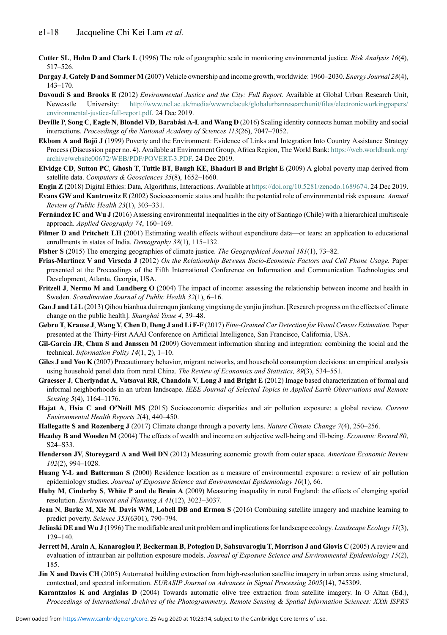- <span id="page-17-26"></span><span id="page-17-25"></span><span id="page-17-24"></span><span id="page-17-23"></span><span id="page-17-22"></span><span id="page-17-17"></span>Cutter SL, Holm D and Clark L (1996) The role of geographic scale in monitoring environmental justice. Risk Analysis 16(4), 517–526.
- <span id="page-17-20"></span>Dargay J, Gately D and Sommer M (2007) Vehicle ownership and income growth, worldwide: 1960–2030. Energy Journal 28(4), 143–170.
- <span id="page-17-1"></span>Davoudi S and Brooks E (2012) *Environmental Justice and the City: Full Report.* Available at Global Urban Research Unit, Newcastle University: [http://www.ncl.ac.uk/media/wwwnclacuk/globalurbanresearchunit/files/electronicworkingpapers/](http://www.ncl.ac.uk/media/wwwnclacuk/globalurbanresearchunit/files/electronicworkingpapers/environmental-justice-full-report.pdf) [environmental-justice-full-report.pdf](http://www.ncl.ac.uk/media/wwwnclacuk/globalurbanresearchunit/files/electronicworkingpapers/environmental-justice-full-report.pdf). 24 Dec 2019.
- Deville P, Song C, Eagle N, Blondel VD, Barabási A-L and Wang D (2016) Scaling identity connects human mobility and social interactions. Proceedings of the National Academy of Sciences 113(26), 7047–7052.
- Ekbom A and Bojö J (1999) Poverty and the Environment: Evidence of Links and Integration Into Country Assistance Strategy Process (Discussion paper no. 4). Available at Environment Group, Africa Region, The World Bank: [https://web.worldbank.org/](https://web.worldbank.org/archive/website00672/WEB/PDF/POVERT-3.PDF) [archive/website00672/WEB/PDF/POVERT-3.PDF.](https://web.worldbank.org/archive/website00672/WEB/PDF/POVERT-3.PDF) 24 Dec 2019.
- <span id="page-17-19"></span>Elvidge CD, Sutton PC, Ghosh T, Tuttle BT, Baugh KE, Bhaduri B and Bright E (2009) A global poverty map derived from satellite data. Computers & Geosciences 35(8), 1652-1660.
- <span id="page-17-30"></span><span id="page-17-11"></span>Engin Z (2018) Digital Ethics: Data, Algorithms, Interactions. Available at <https://doi.org/10.5281/zenodo.1689674>. 24 Dec 2019.
- Evans GW and Kantrowitz E (2002) Socioeconomic status and health: the potential role of environmental risk exposure. Annual Review of Public Health 23(1), 303–331.
- <span id="page-17-7"></span>Fernández IC and Wu J (2016) Assessing environmental inequalities in the city of Santiago (Chile) with a hierarchical multiscale approach. Applied Geography 74, 160–169.
- <span id="page-17-12"></span>Filmer D and Pritchett LH (2001) Estimating wealth effects without expenditure data—or tears: an application to educational enrollments in states of India. Demography 38(1), 115–132.
- <span id="page-17-21"></span><span id="page-17-18"></span>Fisher S (2015) The emerging geographies of climate justice. The Geographical Journal 181(1), 73–82.
- Frias-Martinez V and Virseda J (2012) On the Relationship Between Socio-Economic Factors and Cell Phone Usage. Paper presented at the Proceedings of the Fifth International Conference on Information and Communication Technologies and Development, Atlanta, Georgia, USA.
- <span id="page-17-3"></span>Fritzell J, Nermo M and Lundberg O (2004) The impact of income: assessing the relationship between income and health in Sweden. Scandinavian Journal of Public Health 32(1), 6–16.
- <span id="page-17-0"></span>Gao J and Li L (2013) Qihou bianhua dui renqun jiankang yingxiang de yanjiu jinzhan. [Research progress on the effects of climate change on the public health]. Shanghai Yixue 4, 39–48.
- <span id="page-17-29"></span>Gebru T, Krause J, Wang Y, Chen D, Deng J and Li F-F (2017) Fine-Grained Car Detection for Visual Census Estimation. Paper presented at the Thirty-First AAAI Conference on Artificial Intelligence, San Francisco, California, USA.
- <span id="page-17-14"></span>Gil-Garcia JR, Chun S and Janssen M (2009) Government information sharing and integration: combining the social and the technical. Information Polity 14(1, 2), 1–10.
- <span id="page-17-8"></span>Giles J and Yoo K (2007) Precautionary behavior, migrant networks, and household consumption decisions: an empirical analysis using household panel data from rural China. The Review of Economics and Statistics, 89(3), 534–551.
- Graesser J, Cheriyadat A, Vatsavai RR, Chandola V, Long J and Bright E (2012) Image based characterization of formal and informal neighborhoods in an urban landscape. IEEE Journal of Selected Topics in Applied Earth Observations and Remote Sensing 5(4), 1164-1176.
- <span id="page-17-5"></span><span id="page-17-2"></span>Hajat A, Hsia C and O'Neill MS (2015) Socioeconomic disparities and air pollution exposure: a global review. Current Environmental Health Reports 2(4), 440–450.
- <span id="page-17-13"></span>Hallegatte S and Rozenberg J (2017) Climate change through a poverty lens. Nature Climate Change 7(4), 250–256.
- <span id="page-17-9"></span>Headey B and Wooden M (2004) The effects of wealth and income on subjective well-being and ill-being. Economic Record 80, S24–S33.
- <span id="page-17-15"></span>Henderson JV, Storeygard A and Weil DN (2012) Measuring economic growth from outer space. American Economic Review 102(2), 994–1028.
- <span id="page-17-6"></span>Huang Y-L and Batterman S (2000) Residence location as a measure of environmental exposure: a review of air pollution epidemiology studies. Journal of Exposure Science and Environmental Epidemiology 10(1), 66.
- <span id="page-17-10"></span>Huby M, Cinderby S, White P and de Bruin A (2009) Measuring inequality in rural England: the effects of changing spatial resolution. Environment and Planning A 41(12), 3023–3037.
- <span id="page-17-16"></span>Jean N, Burke M, Xie M, Davis WM, Lobell DB and Ermon S (2016) Combining satellite imagery and machine learning to predict poverty. Science 353(6301), 790–794.
- <span id="page-17-4"></span>Jelinski DE and Wu J (1996) The modifiable areal unit problem and implications for landscape ecology. Landscape Ecology 11(3), 129–140.
- Jerrett M, Arain A, Kanaroglou P, Beckerman B, Potoglou D, Sahsuvaroglu T, Morrison J and Giovis C (2005) A review and evaluation of intraurban air pollution exposure models. Journal of Exposure Science and Environmental Epidemiology 15(2), 185.
- <span id="page-17-28"></span><span id="page-17-27"></span>**Jin X and Davis CH** (2005) Automated building extraction from high-resolution satellite imagery in urban areas using structural, contextual, and spectral information. EURASIP Journal on Advances in Signal Processing 2005(14), 745309.
- Karantzalos K and Argialas D (2004) Towards automatic olive tree extraction from satellite imagery. In O Altan (Ed.), Proceedings of International Archives of the Photogrammetry, Remote Sensing & Spatial Information Sciences: XXth ISPRS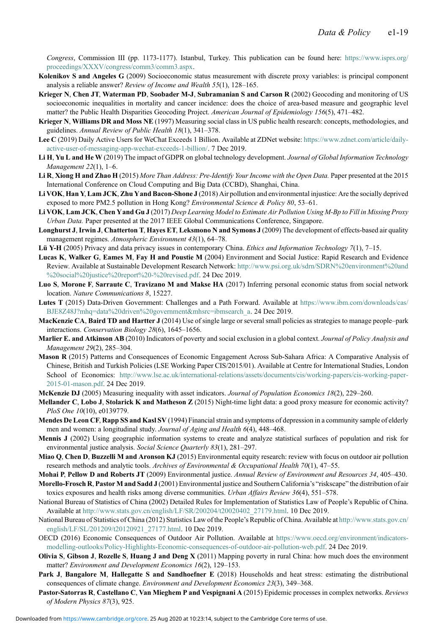<span id="page-18-24"></span><span id="page-18-23"></span><span id="page-18-22"></span>Congress, Commission III (pp. 1173-1177). Istanbul, Turkey. This publication can be found here: [https://www.isprs.org/](https://www.isprs.org/proceedings/XXXV/congress/comm3/comm3.aspx) [proceedings/XXXV/congress/comm3/comm3.aspx.](https://www.isprs.org/proceedings/XXXV/congress/comm3/comm3.aspx)

- <span id="page-18-1"></span>Kolenikov S and Angeles G (2009) Socioeconomic status measurement with discrete proxy variables: is principal component analysis a reliable answer? Review of Income and Wealth 55(1), 128–165.
- <span id="page-18-6"></span>Krieger N, Chen JT, Waterman PD, Soobader M-J, Subramanian S and Carson R (2002) Geocoding and monitoring of US socioeconomic inequalities in mortality and cancer incidence: does the choice of area-based measure and geographic level matter? the Public Health Disparities Geocoding Project. American Journal of Epidemiology 156(5), 471–482.
- <span id="page-18-14"></span>Krieger N, Williams DR and Moss NE (1997) Measuring social class in US public health research: concepts, methodologies, and guidelines. Annual Review of Public Health 18(1), 341–378.
- <span id="page-18-25"></span>Lee C (2019) Daily Active Users for WeChat Exceeds 1 Billion. Available at ZDNet website: [https://www.zdnet.com/article/daily](https://www.zdnet.com/article/daily-active-user-of-messaging-app-wechat-exceeds-1-billion/)[active-user-of-messaging-app-wechat-exceeds-1-billion/](https://www.zdnet.com/article/daily-active-user-of-messaging-app-wechat-exceeds-1-billion/). 7 Dec 2019.
- <span id="page-18-30"></span>Li H, Yu L and He W (2019) The impact of GDPR on global technology development. Journal of Global Information Technology Management 22(1), 1–6.
- Li R, Xiong H and Zhao H (2015) More Than Address: Pre-Identify Your Income with the Open Data. Paper presented at the 2015 International Conference on Cloud Computing and Big Data (CCBD), Shanghai, China.
- <span id="page-18-2"></span>Li VOK, Han Y, Lam JCK, Zhu Yand Bacon-Shone J (2018) Air pollution and environmental injustice: Are the socially deprived exposed to more PM2.5 pollution in Hong Kong? *Environmental Science & Policy 80*, 53–61.
- <span id="page-18-19"></span>Li VOK, Lam JCK, Chen Yand Gu J (2017) Deep Learning Model to Estimate Air Pollution Using M-Bp to Fill in Missing Proxy Urban Data. Paper presented at the 2017 IEEE Global Communications Conference, Singapore.
- <span id="page-18-18"></span>Longhurst J, Irwin J, Chatterton T, Hayes ET, Leksmono N and Symons J (2009) The development of effects-based air quality management regimes. Atmospheric Environment 43(1), 64–78.
- <span id="page-18-29"></span><span id="page-18-16"></span>Lü Y-H (2005) Privacy and data privacy issues in contemporary China. Ethics and Information Technology 7(1), 7-15.
- Lucas K, Walker G, Eames M, Fay H and Poustie M (2004) Environment and Social Justice: Rapid Research and Evidence Review. Available at Sustainable Development Research Network: [http://www.psi.org.uk/sdrn/SDRN%20environment%20and](http://www.psi.org.uk/sdrn/SDRN%20environment%20and%20social%20justice%20report%20-%20revised.pdf) [%20social%20justice%20report%20-%20revised.pdf.](http://www.psi.org.uk/sdrn/SDRN%20environment%20and%20social%20justice%20report%20-%20revised.pdf) 24 Dec 2019.
- <span id="page-18-21"></span>Luo S, Morone F, Sarraute C, Travizano M and Makse HA (2017) Inferring personal economic status from social network location. Nature Communications 8, 15227.
- <span id="page-18-26"></span>Lutes T (2015) Data-Driven Government: Challenges and a Path Forward. Available at [https://www.ibm.com/downloads/cas/](https://www.ibm.com/downloads/cas/BJE8Z48J?mhq=data%20driven%20government&mhsrc=ibmsearch_a) [BJE8Z48J?mhq=data%20driven%20government&mhsrc=ibmsearch\\_a](https://www.ibm.com/downloads/cas/BJE8Z48J?mhq=data%20driven%20government&mhsrc=ibmsearch_a). 24 Dec 2019.
- <span id="page-18-20"></span>MacKenzie CA, Baird TD and Hartter J (2014) Use of single large or several small policies as strategies to manage people–park interactions. Conservation Biology 28(6), 1645–1656.
- <span id="page-18-4"></span>Marlier E. and Atkinson AB (2010) Indicators of poverty and social exclusion in a global context. Journal of Policy Analysis and Management 29(2), 285–304.
- <span id="page-18-9"></span>Mason R (2015) Patterns and Consequences of Economic Engagement Across Sub-Sahara Africa: A Comparative Analysis of Chinese, British and Turkish Policies (LSE Working Paper CIS/2015/01). Available at Centre for International Studies, London School of Economics: [http://www.lse.ac.uk/international-relations/assets/documents/cis/working-papers/cis-working-paper-](http://www.lse.ac.uk/international-relations/assets/documents/cis/working-papers/cis-working-paper-2015-01-mason.pdf)[2015-01-mason.pdf.](http://www.lse.ac.uk/international-relations/assets/documents/cis/working-papers/cis-working-paper-2015-01-mason.pdf) 24 Dec 2019.
- <span id="page-18-15"></span>McKenzie DJ (2005) Measuring inequality with asset indicators. Journal of Population Economics 18(2), 229–260.
- <span id="page-18-8"></span>Mellander C, Lobo J, Stolarick K and Matheson Z (2015) Night-time light data: a good proxy measure for economic activity? PloS One 10(10), e0139779.
- <span id="page-18-13"></span>Mendes De Leon CF, Rapp SS and Kasl SV (1994) Financial strain and symptoms of depression in a community sample of elderly men and women: a longitudinal study. Journal of Aging and Health 6(4), 448–468.
- <span id="page-18-17"></span>Mennis J (2002) Using geographic information systems to create and analyze statistical surfaces of population and risk for environmental justice analysis. Social Science Quarterly 83(1), 281–297.
- <span id="page-18-10"></span>Miao Q, Chen D, Buzzelli M and Aronson KJ (2015) Environmental equity research: review with focus on outdoor air pollution research methods and analytic tools. Archives of Environmental & Occupational Health 70(1), 47–55.
- <span id="page-18-12"></span><span id="page-18-11"></span>Mohai P, Pellow D and Roberts JT (2009) Environmental justice. Annual Review of Environment and Resources 34, 405-430.
- Morello-Frosch R, Pastor M and Sadd J (2001) Environmental justice and Southern California's "riskscape" the distribution of air toxics exposures and health risks among diverse communities. Urban Affairs Review 36(4), 551–578.
- <span id="page-18-28"></span>National Bureau of Statistics of China (2002) Detailed Rules for Implementation of Statistics Law of People's Republic of China. Available at [http://www.stats.gov.cn/english/LF/SR/200204/t20020402\\_27179.html.](http://www.stats.gov.cn/english/LF/SR/200204/t20020402_27179.html) 10 Dec 2019.
- <span id="page-18-27"></span>National Bureau of Statistics of China (2012) Statistics Law of the People's Republic of China. Available at [http://www.stats.gov.cn/](http://www.stats.gov.cn/english/LF/SL/201209/t20120921_27177.html) [english/LF/SL/201209/t20120921\\_27177.html.](http://www.stats.gov.cn/english/LF/SL/201209/t20120921_27177.html) 10 Dec 2019.
- <span id="page-18-0"></span>OECD (2016) Economic Consequences of Outdoor Air Pollution. Available at [https://www.oecd.org/environment/indicators](https://www.oecd.org/environment/indicators-modelling-outlooks/Policy-Highlights-Economic-consequences-of-outdoor-air-pollution-web.pdf)[modelling-outlooks/Policy-Highlights-Economic-consequences-of-outdoor-air-pollution-web.pdf.](https://www.oecd.org/environment/indicators-modelling-outlooks/Policy-Highlights-Economic-consequences-of-outdoor-air-pollution-web.pdf) 24 Dec 2019.
- <span id="page-18-7"></span>Olivia S, Gibson J, Rozelle S, Huang J and Deng X (2011) Mapping poverty in rural China: how much does the environment matter? Environment and Development Economics 16(2), 129–153.
- <span id="page-18-3"></span>Park J, Bangalore M, Hallegatte S and Sandhoefner E (2018) Households and heat stress: estimating the distributional consequences of climate change. Environment and Development Economics 23(3), 349–368.
- <span id="page-18-5"></span>Pastor-Satorras R, Castellano C, Van Mieghem P and Vespignani A (2015) Epidemic processes in complex networks. Reviews of Modern Physics 87(3), 925.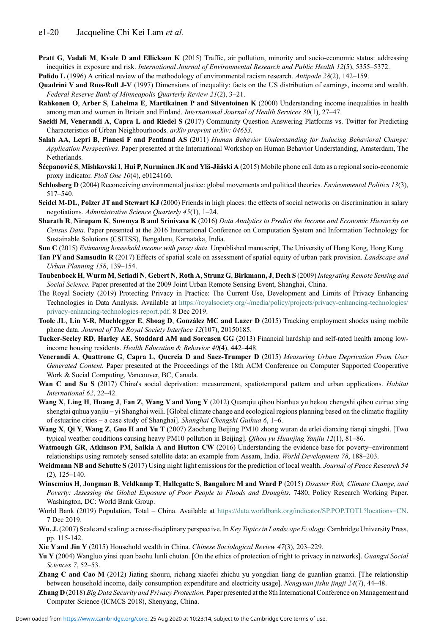- <span id="page-19-25"></span><span id="page-19-24"></span><span id="page-19-23"></span><span id="page-19-22"></span><span id="page-19-21"></span><span id="page-19-20"></span><span id="page-19-19"></span><span id="page-19-16"></span>Pratt G, Vadali M, Kvale D and Ellickson K (2015) Traffic, air pollution, minority and socio-economic status: addressing inequities in exposure and risk. International Journal of Environmental Research and Public Health 12(5), 5355-5372.
- <span id="page-19-9"></span>Pulido L (1996) A critical review of the methodology of environmental racism research. Antipode 28(2), 142–159.
- <span id="page-19-10"></span>Quadrini V and Rıos-Rull J-V (1997) Dimensions of inequality: facts on the US distribution of earnings, income and wealth. Federal Reserve Bank of Minneapolis Quarterly Review 21(2), 3–21.
- <span id="page-19-6"></span>Rahkonen O, Arber S, Lahelma E, Martikainen P and Silventoinen K (2000) Understanding income inequalities in health among men and women in Britain and Finland. International Journal of Health Services 30(1), 27–47.
- <span id="page-19-28"></span>Saeidi M, Venerandi A, Capra L and Riedel S (2017) Community Question Answering Platforms vs. Twitter for Predicting Characteristics of Urban Neighbourhoods. arXiv preprint arXiv: 04653.
- Salah AA, Lepri B, Pianesi F and Pentland AS (2011) Human Behavior Understanding for Inducing Behavioral Change: Application Perspectives. Paper presented at the International Workshop on Human Behavior Understanding, Amsterdam, The Netherlands.
- Šćepanović S, Mishkovski I, Hui P, Nurminen JK and Ylä-Jääski A (2015) Mobile phone call data as a regional socio-economic proxy indicator. PloS One 10(4), e0124160.
- <span id="page-19-15"></span>Schlosberg D (2004) Reconceiving environmental justice: global movements and political theories. *Environmental Politics 13*(3), 517–540.
- Seidel M-DL, Polzer JT and Stewart KJ (2000) Friends in high places: the effects of social networks on discrimination in salary negotiations. Administrative Science Quarterly 45(1), 1–24.
- <span id="page-19-5"></span>Sharath R, Nirupam K, Sowmya B and Srinivasa K (2016) Data Analytics to Predict the Income and Economic Hierarchy on Census Data. Paper presented at the 2016 International Conference on Computation System and Information Technology for Sustainable Solutions (CSITSS), Bengaluru, Karnataka, India.
- <span id="page-19-13"></span><span id="page-19-7"></span>Sun C (2015) Estimating household income with proxy data. Unpublished manuscript, The University of Hong Kong, Hong Kong.
- Tan PY and Samsudin R (2017) Effects of spatial scale on assessment of spatial equity of urban park provision. Landscape and Urban Planning 158, 139–154.
- <span id="page-19-3"></span>Taubenbock H, Wurm M, Setiadi N, Gebert N, Roth A, Strunz G, Birkmann, J, Dech S (2009) Integrating Remote Sensing and Social Science. Paper presented at the 2009 Joint Urban Remote Sensing Event, Shanghai, China.
- <span id="page-19-31"></span>The Royal Society (2019) Protecting Privacy in Practice: The Current Use, Development and Limits of Privacy Enhancing Technologies in Data Analysis. Available at [https://royalsociety.org/-/media/policy/projects/privacy-enhancing-technologies/](https://royalsociety.org/-/media/policy/projects/privacy-enhancing-technologies/privacy-enhancing-technologies-report.pdf) [privacy-enhancing-technologies-report.pdf.](https://royalsociety.org/-/media/policy/projects/privacy-enhancing-technologies/privacy-enhancing-technologies-report.pdf) 8 Dec 2019.
- Toole JL, Lin Y-R, Muehlegger E, Shoag D, González MC and Lazer D (2015) Tracking employment shocks using mobile phone data. Journal of The Royal Society Interface 12(107), 20150185.
- <span id="page-19-11"></span>Tucker-Seeley RD, Harley AE, Stoddard AM and Sorensen GG (2013) Financial hardship and self-rated health among lowincome housing residents. Health Education & Behavior 40(4), 442–448.
- <span id="page-19-8"></span>Venerandi A, Quattrone G, Capra L, Quercia D and Saez-Trumper D (2015) Measuring Urban Deprivation From User Generated Content. Paper presented at the Proceedings of the 18th ACM Conference on Computer Supported Cooperative Work & Social Computing, Vancouver, BC, Canada.
- <span id="page-19-14"></span>Wan C and Su S (2017) China's social deprivation: measurement, spatiotemporal pattern and urban applications. Habitat International 62, 22–42.
- <span id="page-19-2"></span>Wang X, Ling H, Huang J, Fan Z, Wang Y and Yong Y (2012) Quanqiu qihou bianhua yu hekou chengshi qihou cuiruo xing shengtai quhua yanjiu – yi Shanghai weili. [Global climate change and ecological regions planning based on the climatic fragility of estuarine cities – a case study of Shanghai]. Shanghai Chengshi Guihua 6, 1–6.
- <span id="page-19-1"></span>Wang X, Qi Y, Wang Z, Guo H and Yu T (2007) Zaocheng Beijing PM10 zhong wuran de erlei dianxing tianqi xingshi. [Two typical weather conditions causing heavy PM10 pollution in Beijing]. Qihou yu Huanjing Yanjiu 12(1), 81–86.
- <span id="page-19-18"></span>Watmough GR, Atkinson PM, Saikia A and Hutton CW (2016) Understanding the evidence base for poverty–environment relationships using remotely sensed satellite data: an example from Assam, India. World Development 78, 188–203.
- <span id="page-19-17"></span>Weidmann NB and Schutte S (2017) Using night light emissions for the prediction of local wealth. Journal of Peace Research 54 (2), 125–140.
- <span id="page-19-4"></span>Winsemius H, Jongman B, Veldkamp T, Hallegatte S, Bangalore M and Ward P (2015) Disaster Risk, Climate Change, and Poverty: Assessing the Global Exposure of Poor People to Floods and Droughts, 7480, Policy Research Working Paper. Washington, DC: World Bank Group.
- <span id="page-19-27"></span>World Bank (2019) Population, Total – China. Available at [https://data.worldbank.org/indicator/SP.POP.TOTL?locations=CN.](https://data.worldbank.org/indicator/SP.POP.TOTL?locations=CN) 7 Dec 2019.
- <span id="page-19-12"></span>Wu, J. (2007) Scale and scaling: a cross-disciplinary perspective. In Key Topics in Landscape Ecology. Cambridge University Press, pp. 115-142.
- <span id="page-19-30"></span><span id="page-19-0"></span>Xie Y and Jin Y (2015) Household wealth in China. Chinese Sociological Review 47(3), 203-229.
- Yu Y (2004) Wangluo yinsi quan baohu lunli chutan. [On the ethics of protection of right to privacy in networks]. Guangxi Social Sciences 7, 52–53.
- <span id="page-19-26"></span>Zhang C and Cao M (2012) Jiating shouru, richang xiaofei zhichu yu yongdian liang de guanlian guanxi. [The relationship between household income, daily consumption expenditure and electricity usage]. Nengyuan jishu jingji 24(7), 44–48.
- <span id="page-19-29"></span>Zhang D (2018) Big Data Security and Privacy Protection. Paper presented at the 8th International Conference on Management and Computer Science (ICMCS 2018), Shenyang, China.